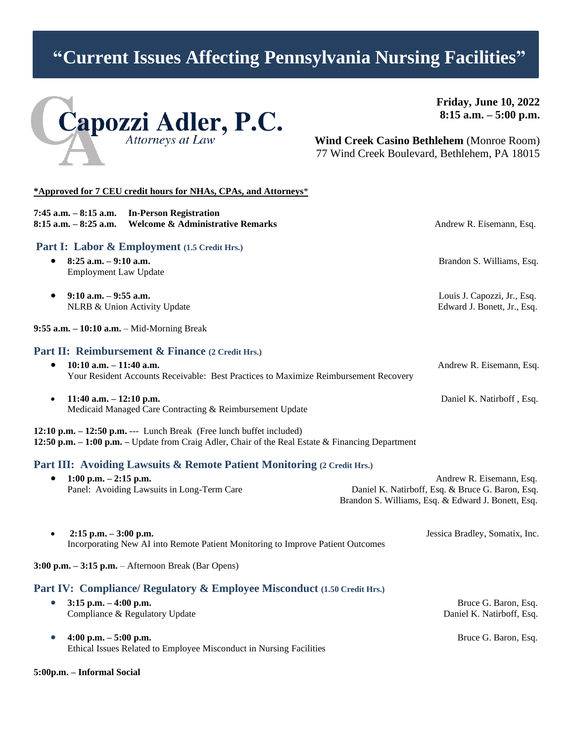# **"Current Issues Affecting Pennsylvania Nursing Facilities"**



**Friday, June 10, 2022 8:15 a.m. – 5:00 p.m.**

**Wind Creek Casino Bethlehem** (Monroe Room) 77 Wind Creek Boulevard, Bethlehem, PA 18015

## **\*Approved for 7 CEU credit hours for NHAs, CPAs, and Attorneys**\* **7:45 a.m. – 8:15 a.m. In-Person Registration 8:15 a.m.** – **8:25 a.m.** Welcome & Administrative Remarks Andrew R. Eisemann, Esq. **Part I: Labor & Employment (1.5 Credit Hrs.)** • **8:25 a.m. – 9:10 a.m.** Brandon S. Williams, Esq. Employment Law Update • **9:10 a.m. – 9:55 a.m.** Louis J. Capozzi, Jr., Esq. NLRB & Union Activity Update **Edward J. Bonett, Jr., Esq.** Edward J. Bonett, Jr., Esq. **9:55 a.m. – 10:10 a.m.** – Mid-Morning Break **Part II: Reimbursement & Finance (2 Credit Hrs.)** • **10:10 a.m. – 11:40 a.m.** Andrew R. Eisemann, Esq. Your Resident Accounts Receivable: Best Practices to Maximize Reimbursement Recovery • **11:40 a.m. – 12:10 p.m.** Daniel K. Natirboff , Esq. Medicaid Managed Care Contracting & Reimbursement Update **12:10 p.m. – 12:50 p.m.** --- Lunch Break (Free lunch buffet included) **12:50 p.m. – 1:00 p.m. –** Update from Craig Adler, Chair of the Real Estate & Financing Department **Part III: Avoiding Lawsuits & Remote Patient Monitoring (2 Credit Hrs.)** • **1:00 p.m. – 2:15 p.m.** Andrew R. Eisemann, Esq. Panel: Avoiding Lawsuits in Long-Term Care Daniel K. Natirboff, Esq. & Bruce G. Baron, Esq. Brandon S. Williams, Esq. & Edward J. Bonett, Esq. • **2:15 p.m. – 3:00 p.m.** Jessica Bradley, Somatix, Inc. Incorporating New AI into Remote Patient Monitoring to Improve Patient Outcomes **3:00 p.m. – 3:15 p.m.** – Afternoon Break (Bar Opens) **Part IV: Compliance/ Regulatory & Employee Misconduct (1.50 Credit Hrs.)** • **3:15 p.m. – 4:00 p.m.** Bruce G. Baron, Esq. Compliance & Regulatory Update  $\Box$  Daniel K. Natirboff, Esq.

• **4:00 p.m. – 5:00 p.m.** Bruce G. Baron, Esq. Ethical Issues Related to Employee Misconduct in Nursing Facilities

**5:00p.m. – Informal Social**